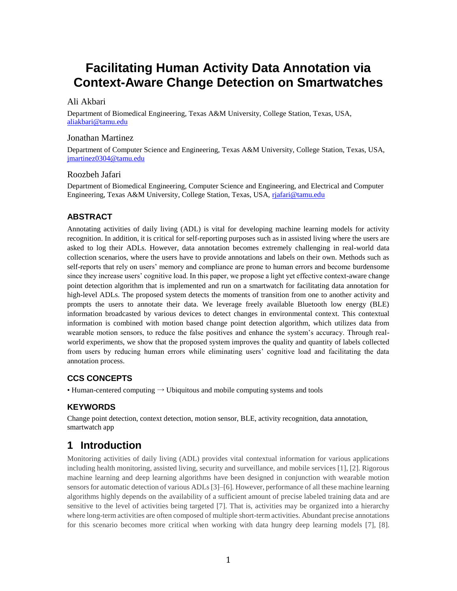# **Facilitating Human Activity Data Annotation via Context-Aware Change Detection on Smartwatches**

#### Ali Akbari

Department of Biomedical Engineering, Texas A&M University, College Station, Texas, USA, [aliakbari@tamu.edu](mailto:aliakbari@tamu.edu)

#### Jonathan Martinez

Department of Computer Science and Engineering, Texas A&M University, College Station, Texas, USA, [jmartinez0304@tamu.edu](mailto:bryceson_laing@tamu.edu)

#### Roozbeh Jafari

Department of Biomedical Engineering, Computer Science and Engineering, and Electrical and Computer Engineering, Texas A&M University, College Station, Texas, USA, [rjafari@tamu.edu](mailto:rjafari@tamu.edu)

#### **ABSTRACT**

Annotating activities of daily living (ADL) is vital for developing machine learning models for activity recognition. In addition, it is critical for self-reporting purposes such as in assisted living where the users are asked to log their ADLs. However, data annotation becomes extremely challenging in real-world data collection scenarios, where the users have to provide annotations and labels on their own. Methods such as self-reports that rely on users' memory and compliance are prone to human errors and become burdensome since they increase users' cognitive load. In this paper, we propose a light yet effective context-aware change point detection algorithm that is implemented and run on a smartwatch for facilitating data annotation for high-level ADLs. The proposed system detects the moments of transition from one to another activity and prompts the users to annotate their data. We leverage freely available Bluetooth low energy (BLE) information broadcasted by various devices to detect changes in environmental context. This contextual information is combined with motion based change point detection algorithm, which utilizes data from wearable motion sensors, to reduce the false positives and enhance the system's accuracy. Through realworld experiments, we show that the proposed system improves the quality and quantity of labels collected from users by reducing human errors while eliminating users' cognitive load and facilitating the data annotation process.

#### **CCS CONCEPTS**

• Human-centered computing  $\rightarrow$  Ubiquitous and mobile computing systems and tools

#### **KEYWORDS**

Change point detection, context detection, motion sensor, BLE, activity recognition, data annotation, smartwatch app

#### **1 Introduction**

Monitoring activities of daily living (ADL) provides vital contextual information for various applications including health monitoring, assisted living, security and surveillance, and mobile services [1], [2]. Rigorous machine learning and deep learning algorithms have been designed in conjunction with wearable motion sensors for automatic detection of various ADLs [3]–[6]. However, performance of all these machine learning algorithms highly depends on the availability of a sufficient amount of precise labeled training data and are sensitive to the level of activities being targeted [7]. That is, activities may be organized into a hierarchy where long-term activities are often composed of multiple short-term activities. Abundant precise annotations for this scenario becomes more critical when working with data hungry deep learning models [7], [8].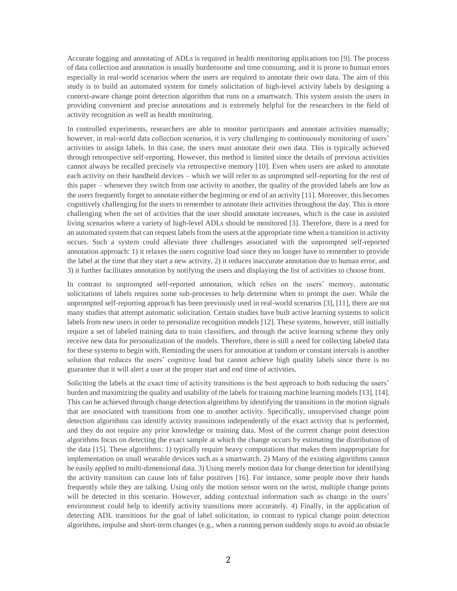Accurate logging and annotating of ADLs is required in health monitoring applications too [9]. The process of data collection and annotation is usually burdensome and time consuming, and it is prone to human errors especially in real-world scenarios where the users are required to annotate their own data. The aim of this study is to build an automated system for timely solicitation of high-level activity labels by designing a context-aware change point detection algorithm that runs on a smartwatch. This system assists the users in providing convenient and precise annotations and is extremely helpful for the researchers in the field of activity recognition as well as health monitoring.

In controlled experiments, researchers are able to monitor participants and annotate activities manually; however, in real-world data collection scenarios, it is very challenging to continuously monitoring of users' activities to assign labels. In this case, the users must annotate their own data. This is typically achieved through retrospective self-reporting. However, this method is limited since the details of previous activities cannot always be recalled precisely via retrospective memory [10]. Even when users are asked to annotate each activity on their handheld devices – which we will refer to as unprompted self-reporting for the rest of this paper – whenever they switch from one activity to another, the quality of the provided labels are low as the users frequently forget to annotate either the beginning or end of an activity [11]. Moreover, this becomes cognitively challenging for the users to remember to annotate their activities throughout the day. This is more challenging when the set of activities that the user should annotate increases, which is the case in assisted living scenarios where a variety of high-level ADLs should be monitored [3]. Therefore, there is a need for an automated system that can request labels from the users at the appropriate time when a transition in activity occurs. Such a system could alleviate three challenges associated with the unprompted self-reported annotation approach: 1) it relaxes the users cognitive load since they no longer have to remember to provide the label at the time that they start a new activity, 2) it reduces inaccurate annotation due to human error, and 3) it further facilitates annotation by notifying the users and displaying the list of activities to choose from.

In contrast to unprompted self-reported annotation, which relies on the users' memory, automatic solicitations of labels requires some sub-processes to help determine when to prompt the user. While the unprompted self-reporting approach has been previously used in real-world scenarios [3], [11], there are not many studies that attempt automatic solicitation. Certain studies have built active learning systems to solicit labels from new users in order to personalize recognition models [12]. These systems, however, still initially require a set of labeled training data to train classifiers, and through the active learning scheme they only receive new data for personalization of the models. Therefore, there is still a need for collecting labeled data for these systems to begin with. Reminding the users for annotation at random or constant intervals is another solution that reduces the users' cognitive load but cannot achieve high quality labels since there is no guarantee that it will alert a user at the proper start and end time of activities.

Soliciting the labels at the exact time of activity transitions is the best approach to both reducing the users' burden and maximizing the quality and usability of the labels for training machine learning models [13], [14]. This can be achieved through change detection algorithms by identifying the transitions in the motion signals that are associated with transitions from one to another activity. Specifically, unsupervised change point detection algorithms can identify activity transitions independently of the exact activity that is performed, and they do not require any prior knowledge or training data. Most of the current change point detection algorithms focus on detecting the exact sample at which the change occurs by estimating the distribution of the data [15]. These algorithms: 1) typically require heavy computations that makes them inappropriate for implementation on small wearable devices such as a smartwatch. 2) Many of the existing algorithms cannot be easily applied to multi-dimensional data. 3) Using merely motion data for change detection for identifying the activity transition can cause lots of false positives [16]. For instance, some people move their hands frequently while they are talking. Using only the motion sensor worn on the wrist, multiple change points will be detected in this scenario. However, adding contextual information such as change in the users' environment could help to identify activity transitions more accurately. 4) Finally, in the application of detecting ADL transitions for the goal of label solicitation, in contrast to typical change point detection algorithms, impulse and short-term changes (e.g., when a running person suddenly stops to avoid an obstacle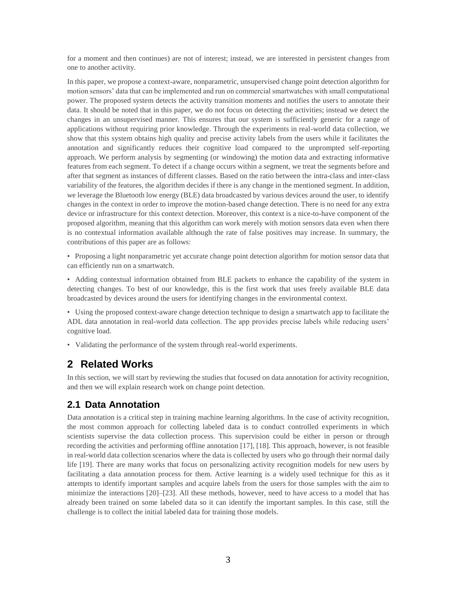for a moment and then continues) are not of interest; instead, we are interested in persistent changes from one to another activity.

In this paper, we propose a context-aware, nonparametric, unsupervised change point detection algorithm for motion sensors' data that can be implemented and run on commercial smartwatches with small computational power. The proposed system detects the activity transition moments and notifies the users to annotate their data. It should be noted that in this paper, we do not focus on detecting the activities; instead we detect the changes in an unsupervised manner. This ensures that our system is sufficiently generic for a range of applications without requiring prior knowledge. Through the experiments in real-world data collection, we show that this system obtains high quality and precise activity labels from the users while it facilitates the annotation and significantly reduces their cognitive load compared to the unprompted self-reporting approach. We perform analysis by segmenting (or windowing) the motion data and extracting informative features from each segment. To detect if a change occurs within a segment, we treat the segments before and after that segment as instances of different classes. Based on the ratio between the intra-class and inter-class variability of the features, the algorithm decides if there is any change in the mentioned segment. In addition, we leverage the Bluetooth low energy (BLE) data broadcasted by various devices around the user, to identify changes in the context in order to improve the motion-based change detection. There is no need for any extra device or infrastructure for this context detection. Moreover, this context is a nice-to-have component of the proposed algorithm, meaning that this algorithm can work merely with motion sensors data even when there is no contextual information available although the rate of false positives may increase. In summary, the contributions of this paper are as follows:

• Proposing a light nonparametric yet accurate change point detection algorithm for motion sensor data that can efficiently run on a smartwatch.

• Adding contextual information obtained from BLE packets to enhance the capability of the system in detecting changes. To best of our knowledge, this is the first work that uses freely available BLE data broadcasted by devices around the users for identifying changes in the environmental context.

• Using the proposed context-aware change detection technique to design a smartwatch app to facilitate the ADL data annotation in real-world data collection. The app provides precise labels while reducing users' cognitive load.

• Validating the performance of the system through real-world experiments.

## **2 Related Works**

In this section, we will start by reviewing the studies that focused on data annotation for activity recognition, and then we will explain research work on change point detection.

#### **2.1 Data Annotation**

Data annotation is a critical step in training machine learning algorithms. In the case of activity recognition, the most common approach for collecting labeled data is to conduct controlled experiments in which scientists supervise the data collection process. This supervision could be either in person or through recording the activities and performing offline annotation [17], [18]. This approach, however, is not feasible in real-world data collection scenarios where the data is collected by users who go through their normal daily life [19]. There are many works that focus on personalizing activity recognition models for new users by facilitating a data annotation process for them. Active learning is a widely used technique for this as it attempts to identify important samples and acquire labels from the users for those samples with the aim to minimize the interactions [20]–[23]. All these methods, however, need to have access to a model that has already been trained on some labeled data so it can identify the important samples. In this case, still the challenge is to collect the initial labeled data for training those models.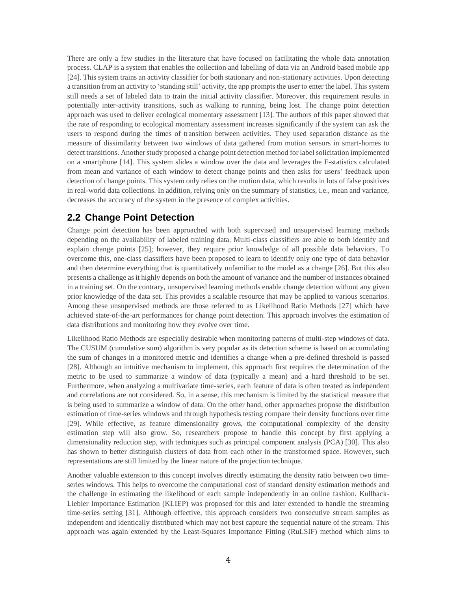There are only a few studies in the literature that have focused on facilitating the whole data annotation process. CLAP is a system that enables the collection and labelling of data via an Android based mobile app [24]. This system trains an activity classifier for both stationary and non-stationary activities. Upon detecting a transition from an activity to 'standing still' activity, the app prompts the user to enter the label. This system still needs a set of labeled data to train the initial activity classifier. Moreover, this requirement results in potentially inter-activity transitions, such as walking to running, being lost. The change point detection approach was used to deliver ecological momentary assessment [13]. The authors of this paper showed that the rate of responding to ecological momentary assessment increases significantly if the system can ask the users to respond during the times of transition between activities. They used separation distance as the measure of dissimilarity between two windows of data gathered from motion sensors in smart-homes to detect transitions. Another study proposed a change point detection method for label solicitation implemented on a smartphone [14]. This system slides a window over the data and leverages the F-statistics calculated from mean and variance of each window to detect change points and then asks for users' feedback upon detection of change points. This system only relies on the motion data, which results in lots of false positives in real-world data collections. In addition, relying only on the summary of statistics, i.e., mean and variance, decreases the accuracy of the system in the presence of complex activities.

## **2.2 Change Point Detection**

Change point detection has been approached with both supervised and unsupervised learning methods depending on the availability of labeled training data. Multi-class classifiers are able to both identify and explain change points [25]; however, they require prior knowledge of all possible data behaviors. To overcome this, one-class classifiers have been proposed to learn to identify only one type of data behavior and then determine everything that is quantitatively unfamiliar to the model as a change [26]. But this also presents a challenge as it highly depends on both the amount of variance and the number of instances obtained in a training set. On the contrary, unsupervised learning methods enable change detection without any given prior knowledge of the data set. This provides a scalable resource that may be applied to various scenarios. Among these unsupervised methods are those referred to as Likelihood Ratio Methods [27] which have achieved state-of-the-art performances for change point detection. This approach involves the estimation of data distributions and monitoring how they evolve over time.

Likelihood Ratio Methods are especially desirable when monitoring patterns of multi-step windows of data. The CUSUM (cumulative sum) algorithm is very popular as its detection scheme is based on accumulating the sum of changes in a monitored metric and identifies a change when a pre-defined threshold is passed [28]. Although an intuitive mechanism to implement, this approach first requires the determination of the metric to be used to summarize a window of data (typically a mean) and a hard threshold to be set. Furthermore, when analyzing a multivariate time-series, each feature of data is often treated as independent and correlations are not considered. So, in a sense, this mechanism is limited by the statistical measure that is being used to summarize a window of data. On the other hand, other approaches propose the distribution estimation of time-series windows and through hypothesis testing compare their density functions over time [29]. While effective, as feature dimensionality grows, the computational complexity of the density estimation step will also grow. So, researchers propose to handle this concept by first applying a dimensionality reduction step, with techniques such as principal component analysis (PCA) [30]. This also has shown to better distinguish clusters of data from each other in the transformed space. However, such representations are still limited by the linear nature of the projection technique.

Another valuable extension to this concept involves directly estimating the density ratio between two timeseries windows. This helps to overcome the computational cost of standard density estimation methods and the challenge in estimating the likelihood of each sample independently in an online fashion. Kullback-Liebler Importance Estimation (KLIEP) was proposed for this and later extended to handle the streaming time-series setting [31]. Although effective, this approach considers two consecutive stream samples as independent and identically distributed which may not best capture the sequential nature of the stream. This approach was again extended by the Least-Squares Importance Fitting (RuLSIF) method which aims to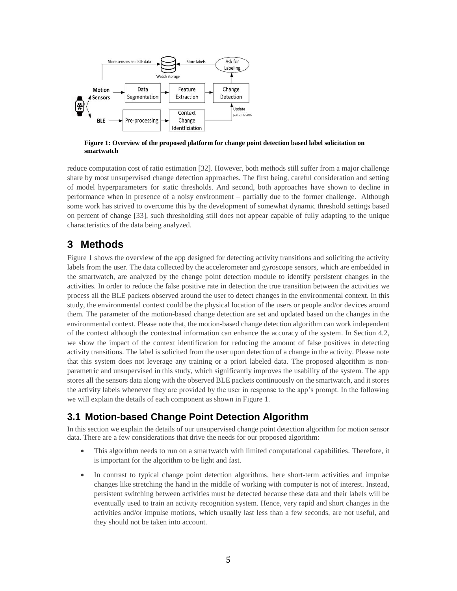

**Figure 1: Overview of the proposed platform for change point detection based label solicitation on smartwatch**

reduce computation cost of ratio estimation [32]. However, both methods still suffer from a major challenge share by most unsupervised change detection approaches. The first being, careful consideration and setting of model hyperparameters for static thresholds. And second, both approaches have shown to decline in performance when in presence of a noisy environment – partially due to the former challenge. Although some work has strived to overcome this by the development of somewhat dynamic threshold settings based on percent of change [33], such thresholding still does not appear capable of fully adapting to the unique characteristics of the data being analyzed.

## **3 Methods**

Figure 1 shows the overview of the app designed for detecting activity transitions and soliciting the activity labels from the user. The data collected by the accelerometer and gyroscope sensors, which are embedded in the smartwatch, are analyzed by the change point detection module to identify persistent changes in the activities. In order to reduce the false positive rate in detection the true transition between the activities we process all the BLE packets observed around the user to detect changes in the environmental context. In this study, the environmental context could be the physical location of the users or people and/or devices around them. The parameter of the motion-based change detection are set and updated based on the changes in the environmental context. Please note that, the motion-based change detection algorithm can work independent of the context although the contextual information can enhance the accuracy of the system. In Section 4.2, we show the impact of the context identification for reducing the amount of false positives in detecting activity transitions. The label is solicited from the user upon detection of a change in the activity. Please note that this system does not leverage any training or a priori labeled data. The proposed algorithm is nonparametric and unsupervised in this study, which significantly improves the usability of the system. The app stores all the sensors data along with the observed BLE packets continuously on the smartwatch, and it stores the activity labels whenever they are provided by the user in response to the app's prompt. In the following we will explain the details of each component as shown in Figure 1.

## **3.1 Motion-based Change Point Detection Algorithm**

In this section we explain the details of our unsupervised change point detection algorithm for motion sensor data. There are a few considerations that drive the needs for our proposed algorithm:

- This algorithm needs to run on a smartwatch with limited computational capabilities. Therefore, it is important for the algorithm to be light and fast.
- In contrast to typical change point detection algorithms, here short-term activities and impulse changes like stretching the hand in the middle of working with computer is not of interest. Instead, persistent switching between activities must be detected because these data and their labels will be eventually used to train an activity recognition system. Hence, very rapid and short changes in the activities and/or impulse motions, which usually last less than a few seconds, are not useful, and they should not be taken into account.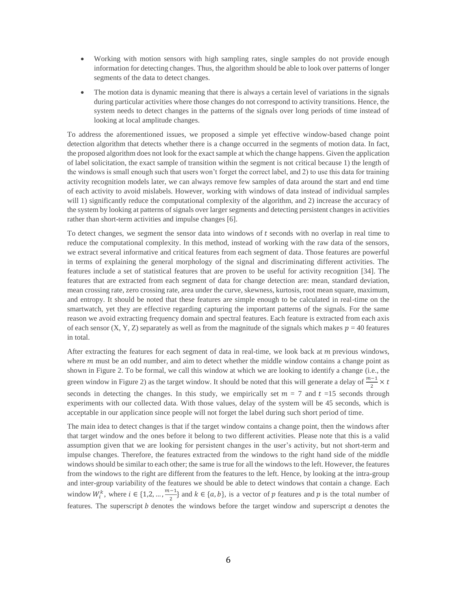- Working with motion sensors with high sampling rates, single samples do not provide enough information for detecting changes. Thus, the algorithm should be able to look over patterns of longer segments of the data to detect changes.
- The motion data is dynamic meaning that there is always a certain level of variations in the signals during particular activities where those changes do not correspond to activity transitions. Hence, the system needs to detect changes in the patterns of the signals over long periods of time instead of looking at local amplitude changes.

To address the aforementioned issues, we proposed a simple yet effective window-based change point detection algorithm that detects whether there is a change occurred in the segments of motion data. In fact, the proposed algorithm does not look for the exact sample at which the change happens. Given the application of label solicitation, the exact sample of transition within the segment is not critical because 1) the length of the windows is small enough such that users won't forget the correct label, and 2) to use this data for training activity recognition models later, we can always remove few samples of data around the start and end time of each activity to avoid mislabels. However, working with windows of data instead of individual samples will 1) significantly reduce the computational complexity of the algorithm, and 2) increase the accuracy of the system by looking at patterns of signals over larger segments and detecting persistent changes in activities rather than short-term activities and impulse changes [6].

To detect changes, we segment the sensor data into windows of  $t$  seconds with no overlap in real time to reduce the computational complexity. In this method, instead of working with the raw data of the sensors, we extract several informative and critical features from each segment of data. Those features are powerful in terms of explaining the general morphology of the signal and discriminating different activities. The features include a set of statistical features that are proven to be useful for activity recognition [34]. The features that are extracted from each segment of data for change detection are: mean, standard deviation, mean crossing rate, zero crossing rate, area under the curve, skewness, kurtosis, root mean square, maximum, and entropy. It should be noted that these features are simple enough to be calculated in real-time on the smartwatch, yet they are effective regarding capturing the important patterns of the signals. For the same reason we avoid extracting frequency domain and spectral features. Each feature is extracted from each axis of each sensor (X, Y, Z) separately as well as from the magnitude of the signals which makes  $p = 40$  features in total.

After extracting the features for each segment of data in real-time, we look back at  $m$  previous windows, where  $m$  must be an odd number, and aim to detect whether the middle window contains a change point as shown in Figure 2. To be formal, we call this window at which we are looking to identify a change (i.e., the green window in Figure 2) as the target window. It should be noted that this will generate a delay of  $\frac{m-1}{2} \times t$ seconds in detecting the changes. In this study, we empirically set  $m = 7$  and  $t = 15$  seconds through experiments with our collected data. With those values, delay of the system will be 45 seconds, which is acceptable in our application since people will not forget the label during such short period of time.

The main idea to detect changes is that if the target window contains a change point, then the windows after that target window and the ones before it belong to two different activities. Please note that this is a valid assumption given that we are looking for persistent changes in the user's activity, but not short-term and impulse changes. Therefore, the features extracted from the windows to the right hand side of the middle windows should be similar to each other; the same is true for all the windows to the left. However, the features from the windows to the right are different from the features to the left. Hence, by looking at the intra-group and inter-group variability of the features we should be able to detect windows that contain a change. Each window  $W_i^k$ , where  $i \in \{1, 2, ..., \frac{m-1}{2}\}$  $\frac{z-1}{2}$  and  $k \in \{a, b\}$ , is a vector of p features and p is the total number of features. The superscript *b* denotes the windows before the target window and superscript *a* denotes the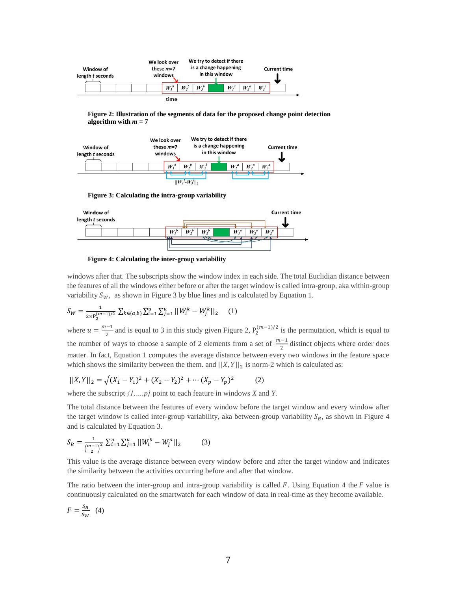

**Figure 2: Illustration of the segments of data for the proposed change point detection algorithm with**  $m = 7$ 



**Figure 3: Calculating the intra-group variability**



**Figure 4: Calculating the inter-group variability**

windows after that. The subscripts show the window index in each side. The total Euclidian distance between the features of all the windows either before or after the target window is called intra-group, aka within-group variability  $S_W$ , as shown in Figure 3 by blue lines and is calculated by Equation 1.

$$
S_W = \frac{1}{2 \times P_2^{(m-1)/2}} \sum_{k \in \{a,b\}} \sum_{i=1}^u \sum_{j=1}^u ||W_i^k - W_j^k||_2 \qquad (1)
$$

where  $u = \frac{m-1}{2}$  $\frac{1}{2}$  and is equal to 3 in this study given Figure 2,  $P_2^{(m-1)/2}$  is the permutation, which is equal to the number of ways to choose a sample of 2 elements from a set of  $\frac{m-1}{2}$  distinct objects where order does matter. In fact, Equation 1 computes the average distance between every two windows in the feature space which shows the similarity between the them. and  $\left|\left|X, Y\right|\right|_2$  is norm-2 which is calculated as:

$$
||X,Y||_2 = \sqrt{(X_1 - Y_1)^2 + (X_2 - Y_2)^2 + \cdots + (X_p - Y_p)^2}
$$
 (2)

where the subscript *{1,…,p}* point to each feature in windows *X* and *Y*.

The total distance between the features of every window before the target window and every window after the target window is called inter-group variability, aka between-group variability  $S_B$ , as shown in Figure 4 and is calculated by Equation 3.

$$
S_B = \frac{1}{\left(\frac{m-1}{2}\right)^2} \sum_{i=1}^u \sum_{j=1}^u ||W_i^b - W_j^a||_2 \tag{3}
$$

This value is the average distance between every window before and after the target window and indicates the similarity between the activities occurring before and after that window.

The ratio between the inter-group and intra-group variability is called  $F$ . Using Equation 4 the  $F$  value is continuously calculated on the smartwatch for each window of data in real-time as they become available.

$$
F = \frac{S_B}{S_W} \quad (4)
$$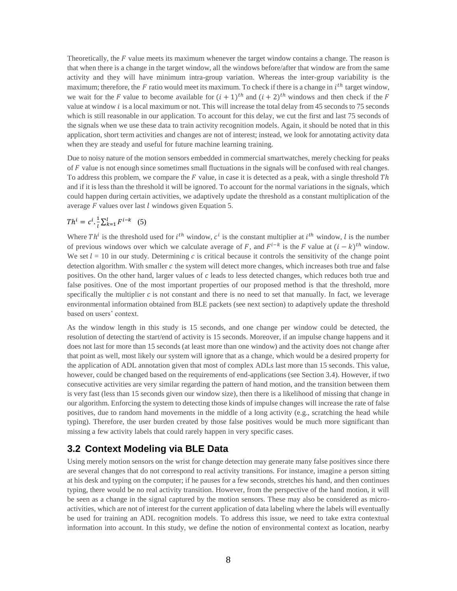Theoretically, the  $F$  value meets its maximum whenever the target window contains a change. The reason is that when there is a change in the target window, all the windows before/after that window are from the same activity and they will have minimum intra-group variation. Whereas the inter-group variability is the maximum; therefore, the  $F$  ratio would meet its maximum. To check if there is a change in  $i^{th}$  target window, we wait for the F value to become available for  $(i + 1)^{th}$  and  $(i + 2)^{th}$  windows and then check if the F value at window  $i$  is a local maximum or not. This will increase the total delay from 45 seconds to 75 seconds which is still reasonable in our application. To account for this delay, we cut the first and last 75 seconds of the signals when we use these data to train activity recognition models. Again, it should be noted that in this application, short term activities and changes are not of interest; instead, we look for annotating activity data when they are steady and useful for future machine learning training.

Due to noisy nature of the motion sensors embedded in commercial smartwatches, merely checking for peaks of  $F$  value is not enough since sometimes small fluctuations in the signals will be confused with real changes. To address this problem, we compare the  $F$  value, in case it is detected as a peak, with a single threshold  $Th$ and if it is less than the threshold it will be ignored. To account for the normal variations in the signals, which could happen during certain activities, we adaptively update the threshold as a constant multiplication of the average  $F$  values over last  $l$  windows given Equation 5.

$$
Th^{i} = c^{i} \cdot \frac{1}{l} \sum_{k=1}^{l} F^{i-k} \quad (5)
$$

Where Th<sup>i</sup> is the threshold used for  $i^{th}$  window,  $c^i$  is the constant multiplier at  $i^{th}$  window, l is the number of previous windows over which we calculate average of F, and  $F^{i-k}$  is the F value at  $(i - k)^{th}$  window. We set  $l = 10$  in our study. Determining c is critical because it controls the sensitivity of the change point detection algorithm. With smaller  $c$  the system will detect more changes, which increases both true and false positives. On the other hand, larger values of  $c$  leads to less detected changes, which reduces both true and false positives. One of the most important properties of our proposed method is that the threshold, more specifically the multiplier  $c$  is not constant and there is no need to set that manually. In fact, we leverage environmental information obtained from BLE packets (see next section) to adaptively update the threshold based on users' context.

As the window length in this study is 15 seconds, and one change per window could be detected, the resolution of detecting the start/end of activity is 15 seconds. Moreover, if an impulse change happens and it does not last for more than 15 seconds (at least more than one window) and the activity does not change after that point as well, most likely our system will ignore that as a change, which would be a desired property for the application of ADL annotation given that most of complex ADLs last more than 15 seconds. This value, however, could be changed based on the requirements of end-applications (see Section 3.4). However, if two consecutive activities are very similar regarding the pattern of hand motion, and the transition between them is very fast (less than 15 seconds given our window size), then there is a likelihood of missing that change in our algorithm. Enforcing the system to detecting those kinds of impulse changes will increase the rate of false positives, due to random hand movements in the middle of a long activity (e.g., scratching the head while typing). Therefore, the user burden created by those false positives would be much more significant than missing a few activity labels that could rarely happen in very specific cases.

#### **3.2 Context Modeling via BLE Data**

Using merely motion sensors on the wrist for change detection may generate many false positives since there are several changes that do not correspond to real activity transitions. For instance, imagine a person sitting at his desk and typing on the computer; if he pauses for a few seconds, stretches his hand, and then continues typing, there would be no real activity transition. However, from the perspective of the hand motion, it will be seen as a change in the signal captured by the motion sensors. These may also be considered as microactivities, which are not of interest for the current application of data labeling where the labels will eventually be used for training an ADL recognition models. To address this issue, we need to take extra contextual information into account. In this study, we define the notion of environmental context as location, nearby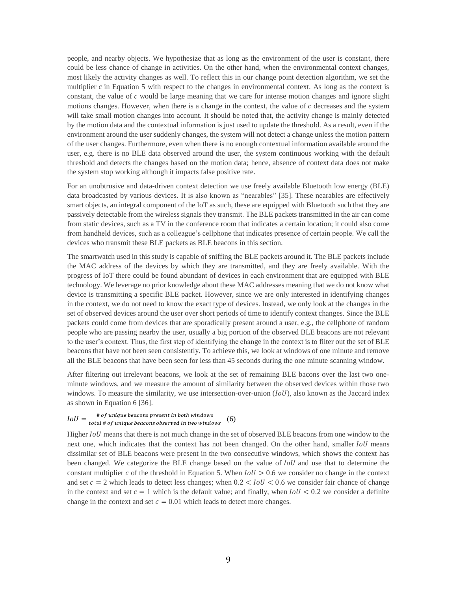people, and nearby objects. We hypothesize that as long as the environment of the user is constant, there could be less chance of change in activities. On the other hand, when the environmental context changes, most likely the activity changes as well. To reflect this in our change point detection algorithm, we set the multiplier  $c$  in Equation 5 with respect to the changes in environmental context. As long as the context is constant, the value of  $c$  would be large meaning that we care for intense motion changes and ignore slight motions changes. However, when there is a change in the context, the value of  $c$  decreases and the system will take small motion changes into account. It should be noted that, the activity change is mainly detected by the motion data and the contextual information is just used to update the threshold. As a result, even if the environment around the user suddenly changes, the system will not detect a change unless the motion pattern of the user changes. Furthermore, even when there is no enough contextual information available around the user, e.g. there is no BLE data observed around the user, the system continuous working with the default threshold and detects the changes based on the motion data; hence, absence of context data does not make the system stop working although it impacts false positive rate.

For an unobtrusive and data-driven context detection we use freely available Bluetooth low energy (BLE) data broadcasted by various devices. It is also known as "nearables" [35]. These nearables are effectively smart objects, an integral component of the IoT as such, these are equipped with Bluetooth such that they are passively detectable from the wireless signals they transmit. The BLE packets transmitted in the air can come from static devices, such as a TV in the conference room that indicates a certain location; it could also come from handheld devices, such as a colleague's cellphone that indicates presence of certain people. We call the devices who transmit these BLE packets as BLE beacons in this section.

The smartwatch used in this study is capable of sniffing the BLE packets around it. The BLE packets include the MAC address of the devices by which they are transmitted, and they are freely available. With the progress of IoT there could be found abundant of devices in each environment that are equipped with BLE technology. We leverage no prior knowledge about these MAC addresses meaning that we do not know what device is transmitting a specific BLE packet. However, since we are only interested in identifying changes in the context, we do not need to know the exact type of devices. Instead, we only look at the changes in the set of observed devices around the user over short periods of time to identify context changes. Since the BLE packets could come from devices that are sporadically present around a user, e.g., the cellphone of random people who are passing nearby the user, usually a big portion of the observed BLE beacons are not relevant to the user's context. Thus, the first step of identifying the change in the context is to filter out the set of BLE beacons that have not been seen consistently. To achieve this, we look at windows of one minute and remove all the BLE beacons that have been seen for less than 45 seconds during the one minute scanning window.

After filtering out irrelevant beacons, we look at the set of remaining BLE bacons over the last two oneminute windows, and we measure the amount of similarity between the observed devices within those two windows. To measure the similarity, we use intersection-over-union  $(IoU)$ , also known as the Jaccard index as shown in Equation 6 [36].

#### $IoU = \frac{100 \text{ mJ}}{1}$  to the state of the selection of the select in both windows  $\#$  of unique beacons present in both windows  $(6)$

Higher IoU means that there is not much change in the set of observed BLE beacons from one window to the next one, which indicates that the context has not been changed. On the other hand, smaller  $IoU$  means dissimilar set of BLE beacons were present in the two consecutive windows, which shows the context has been changed. We categorize the BLE change based on the value of *IoU* and use that to determine the constant multiplier c of the threshold in Equation 5. When  $IoU > 0.6$  we consider no change in the context and set  $c = 2$  which leads to detect less changes; when  $0.2 < I_0 U < 0.6$  we consider fair chance of change in the context and set  $c = 1$  which is the default value; and finally, when  $IoU < 0.2$  we consider a definite change in the context and set  $c = 0.01$  which leads to detect more changes.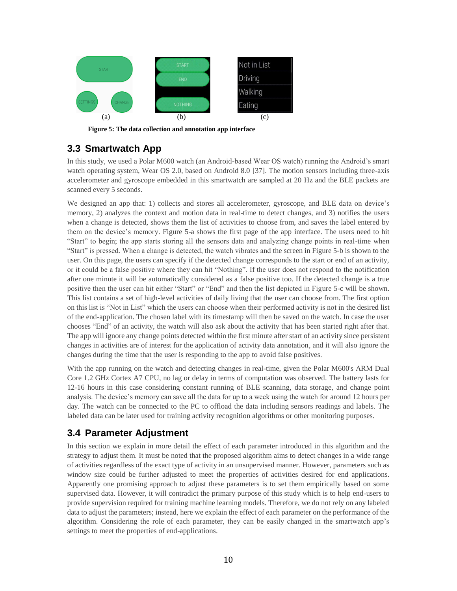

**Figure 5: The data collection and annotation app interface**

## **3.3 Smartwatch App**

In this study, we used a Polar M600 watch (an Android-based Wear OS watch) running the Android's smart watch operating system, Wear OS 2.0, based on Android 8.0 [37]. The motion sensors including three-axis accelerometer and gyroscope embedded in this smartwatch are sampled at 20 Hz and the BLE packets are scanned every 5 seconds.

We designed an app that: 1) collects and stores all accelerometer, gyroscope, and BLE data on device's memory, 2) analyzes the context and motion data in real-time to detect changes, and 3) notifies the users when a change is detected, shows them the list of activities to choose from, and saves the label entered by them on the device's memory. Figure 5-a shows the first page of the app interface. The users need to hit "Start" to begin; the app starts storing all the sensors data and analyzing change points in real-time when "Start" is pressed. When a change is detected, the watch vibrates and the screen in Figure 5-b is shown to the user. On this page, the users can specify if the detected change corresponds to the start or end of an activity, or it could be a false positive where they can hit "Nothing". If the user does not respond to the notification after one minute it will be automatically considered as a false positive too. If the detected change is a true positive then the user can hit either "Start" or "End" and then the list depicted in Figure 5-c will be shown. This list contains a set of high-level activities of daily living that the user can choose from. The first option on this list is "Not in List" which the users can choose when their performed activity is not in the desired list of the end-application. The chosen label with its timestamp will then be saved on the watch. In case the user chooses "End" of an activity, the watch will also ask about the activity that has been started right after that. The app will ignore any change points detected within the first minute after start of an activity since persistent changes in activities are of interest for the application of activity data annotation, and it will also ignore the changes during the time that the user is responding to the app to avoid false positives.

With the app running on the watch and detecting changes in real-time, given the Polar M600's ARM Dual Core 1.2 GHz Cortex A7 CPU, no lag or delay in terms of computation was observed. The battery lasts for 12-16 hours in this case considering constant running of BLE scanning, data storage, and change point analysis. The device's memory can save all the data for up to a week using the watch for around 12 hours per day. The watch can be connected to the PC to offload the data including sensors readings and labels. The labeled data can be later used for training activity recognition algorithms or other monitoring purposes.

## **3.4 Parameter Adjustment**

In this section we explain in more detail the effect of each parameter introduced in this algorithm and the strategy to adjust them. It must be noted that the proposed algorithm aims to detect changes in a wide range of activities regardless of the exact type of activity in an unsupervised manner. However, parameters such as window size could be further adjusted to meet the properties of activities desired for end applications. Apparently one promising approach to adjust these parameters is to set them empirically based on some supervised data. However, it will contradict the primary purpose of this study which is to help end-users to provide supervision required for training machine learning models. Therefore, we do not rely on any labeled data to adjust the parameters; instead, here we explain the effect of each parameter on the performance of the algorithm. Considering the role of each parameter, they can be easily changed in the smartwatch app's settings to meet the properties of end-applications.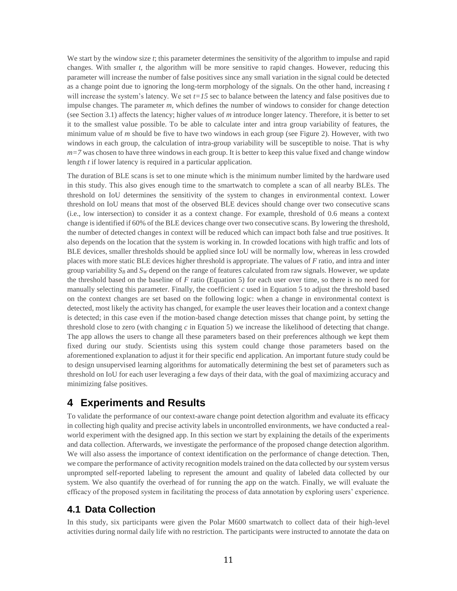We start by the window size *t*; this parameter determines the sensitivity of the algorithm to impulse and rapid changes. With smaller *t*, the algorithm will be more sensitive to rapid changes. However, reducing this parameter will increase the number of false positives since any small variation in the signal could be detected as a change point due to ignoring the long-term morphology of the signals. On the other hand, increasing *t* will increase the system's latency. We set  $t=15$  sec to balance between the latency and false positives due to impulse changes. The parameter *m*, which defines the number of windows to consider for change detection (see Section 3.1) affects the latency; higher values of *m* introduce longer latency. Therefore, it is better to set it to the smallest value possible. To be able to calculate inter and intra group variability of features, the minimum value of *m* should be five to have two windows in each group (see Figure 2). However, with two windows in each group, the calculation of intra-group variability will be susceptible to noise. That is why *m=7* was chosen to have three windows in each group. It is better to keep this value fixed and change window length *t* if lower latency is required in a particular application.

The duration of BLE scans is set to one minute which is the minimum number limited by the hardware used in this study. This also gives enough time to the smartwatch to complete a scan of all nearby BLEs. The threshold on IoU determines the sensitivity of the system to changes in environmental context. Lower threshold on IoU means that most of the observed BLE devices should change over two consecutive scans (i.e., low intersection) to consider it as a context change. For example, threshold of 0.6 means a context change is identified if 60% of the BLE devices change over two consecutive scans. By lowering the threshold, the number of detected changes in context will be reduced which can impact both false and true positives. It also depends on the location that the system is working in. In crowded locations with high traffic and lots of BLE devices, smaller thresholds should be applied since IoU will be normally low, whereas in less crowded places with more static BLE devices higher threshold is appropriate. The values of *F* ratio, and intra and inter group variability  $S_B$  and  $S_W$  depend on the range of features calculated from raw signals. However, we update the threshold based on the baseline of *F* ratio (Equation 5) for each user over time, so there is no need for manually selecting this parameter. Finally, the coefficient *c* used in Equation 5 to adjust the threshold based on the context changes are set based on the following logic: when a change in environmental context is detected, most likely the activity has changed, for example the user leaves their location and a context change is detected; in this case even if the motion-based change detection misses that change point, by setting the threshold close to zero (with changing *c* in Equation 5) we increase the likelihood of detecting that change. The app allows the users to change all these parameters based on their preferences although we kept them fixed during our study. Scientists using this system could change those parameters based on the aforementioned explanation to adjust it for their specific end application. An important future study could be to design unsupervised learning algorithms for automatically determining the best set of parameters such as threshold on IoU for each user leveraging a few days of their data, with the goal of maximizing accuracy and minimizing false positives.

## **4 Experiments and Results**

To validate the performance of our context-aware change point detection algorithm and evaluate its efficacy in collecting high quality and precise activity labels in uncontrolled environments, we have conducted a realworld experiment with the designed app. In this section we start by explaining the details of the experiments and data collection. Afterwards, we investigate the performance of the proposed change detection algorithm. We will also assess the importance of context identification on the performance of change detection. Then, we compare the performance of activity recognition models trained on the data collected by our system versus unprompted self-reported labeling to represent the amount and quality of labeled data collected by our system. We also quantify the overhead of for running the app on the watch. Finally, we will evaluate the efficacy of the proposed system in facilitating the process of data annotation by exploring users' experience.

## **4.1 Data Collection**

In this study, six participants were given the Polar M600 smartwatch to collect data of their high-level activities during normal daily life with no restriction. The participants were instructed to annotate the data on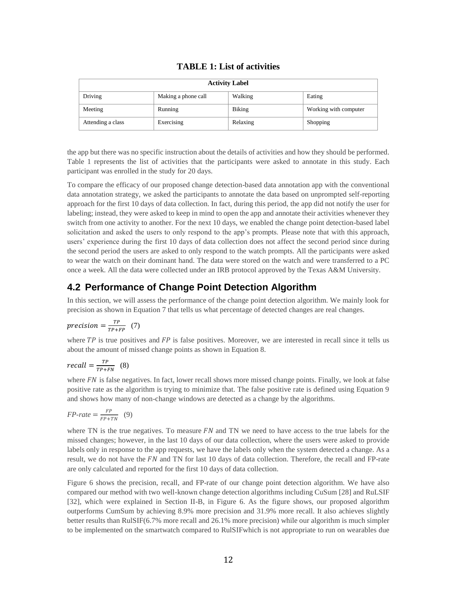#### **TABLE 1: List of activities**

| <b>Activity Label</b> |                     |               |                       |  |
|-----------------------|---------------------|---------------|-----------------------|--|
| Driving               | Making a phone call | Walking       | Eating                |  |
| Meeting               | Running             | <b>Biking</b> | Working with computer |  |
| Attending a class     | Exercising          | Relaxing      | Shopping              |  |

the app but there was no specific instruction about the details of activities and how they should be performed. Table 1 represents the list of activities that the participants were asked to annotate in this study. Each participant was enrolled in the study for 20 days.

To compare the efficacy of our proposed change detection-based data annotation app with the conventional data annotation strategy, we asked the participants to annotate the data based on unprompted self-reporting approach for the first 10 days of data collection. In fact, during this period, the app did not notify the user for labeling; instead, they were asked to keep in mind to open the app and annotate their activities whenever they switch from one activity to another. For the next 10 days, we enabled the change point detection-based label solicitation and asked the users to only respond to the app's prompts. Please note that with this approach, users' experience during the first 10 days of data collection does not affect the second period since during the second period the users are asked to only respond to the watch prompts. All the participants were asked to wear the watch on their dominant hand. The data were stored on the watch and were transferred to a PC once a week. All the data were collected under an IRB protocol approved by the Texas A&M University.

## **4.2 Performance of Change Point Detection Algorithm**

In this section, we will assess the performance of the change point detection algorithm. We mainly look for precision as shown in Equation 7 that tells us what percentage of detected changes are real changes.

$$
precision = \frac{TP}{TP + FP} \quad (7)
$$

where  $TP$  is true positives and  $FP$  is false positives. Moreover, we are interested in recall since it tells us about the amount of missed change points as shown in Equation 8.

$$
recall = \frac{TP}{TP+FN} \quad (8)
$$

where  $FN$  is false negatives. In fact, lower recall shows more missed change points. Finally, we look at false positive rate as the algorithm is trying to minimize that. The false positive rate is defined using Equation 9 and shows how many of non-change windows are detected as a change by the algorithms.

$$
FP\text{-}rate = \frac{FP}{FP + TN} \quad (9)
$$

where TN is the true negatives. To measure  $FN$  and TN we need to have access to the true labels for the missed changes; however, in the last 10 days of our data collection, where the users were asked to provide labels only in response to the app requests, we have the labels only when the system detected a change. As a result, we do not have the FN and TN for last 10 days of data collection. Therefore, the recall and FP-rate are only calculated and reported for the first 10 days of data collection.

Figure 6 shows the precision, recall, and FP-rate of our change point detection algorithm. We have also compared our method with two well-known change detection algorithms including CuSum [28] and RuLSIF [32], which were explained in Section II-B, in Figure 6. As the figure shows, our proposed algorithm outperforms CumSum by achieving 8.9% more precision and 31.9% more recall. It also achieves slightly better results than RulSIF(6.7% more recall and 26.1% more precision) while our algorithm is much simpler to be implemented on the smartwatch compared to RulSIFwhich is not appropriate to run on wearables due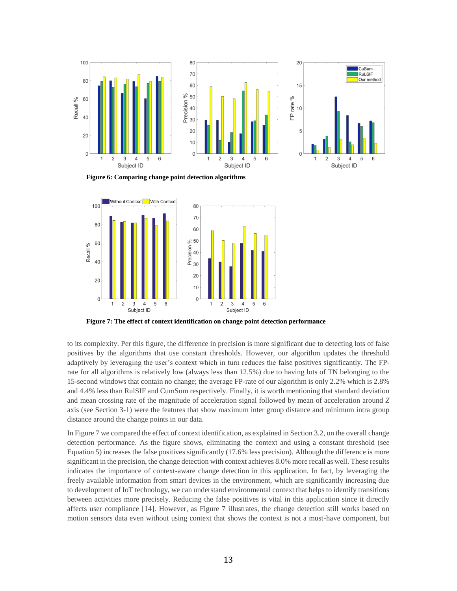

**Figure 6: Comparing change point detection algorithms**



**Figure 7: The effect of context identification on change point detection performance** 

to its complexity. Per this figure, the difference in precision is more significant due to detecting lots of false positives by the algorithms that use constant thresholds. However, our algorithm updates the threshold adaptively by leveraging the user's context which in turn reduces the false positives significantly. The FPrate for all algorithms is relatively low (always less than 12.5%) due to having lots of TN belonging to the 15-second windows that contain no change; the average FP-rate of our algorithm is only 2.2% which is 2.8% and 4.4% less than RulSIF and CumSum respectively. Finally, it is worth mentioning that standard deviation and mean crossing rate of the magnitude of acceleration signal followed by mean of acceleration around *Z* axis (see Section 3-1) were the features that show maximum inter group distance and minimum intra group distance around the change points in our data.

In Figure 7 we compared the effect of context identification, as explained in Section 3.2, on the overall change detection performance. As the figure shows, eliminating the context and using a constant threshold (see Equation 5) increases the false positives significantly (17.6% less precision). Although the difference is more significant in the precision, the change detection with context achieves 8.0% more recall as well. These results indicates the importance of context-aware change detection in this application. In fact, by leveraging the freely available information from smart devices in the environment, which are significantly increasing due to development of IoT technology, we can understand environmental context that helps to identify transitions between activities more precisely. Reducing the false positives is vital in this application since it directly affects user compliance [14]. However, as Figure 7 illustrates, the change detection still works based on motion sensors data even without using context that shows the context is not a must-have component, but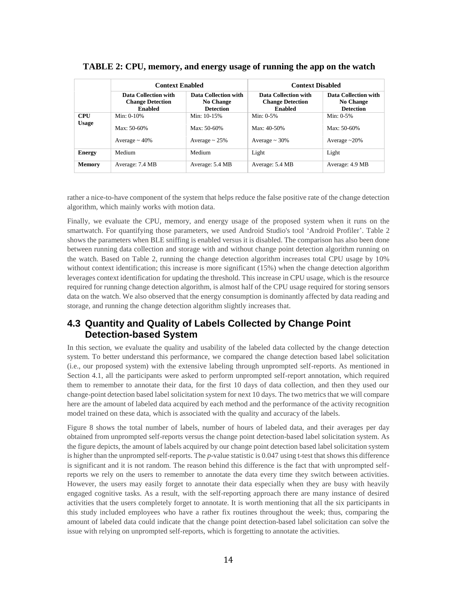|                            | <b>Context Enabled</b>                                            |                                                              | <b>Context Disabled</b>                                           |                                                       |
|----------------------------|-------------------------------------------------------------------|--------------------------------------------------------------|-------------------------------------------------------------------|-------------------------------------------------------|
|                            | Data Collection with<br><b>Change Detection</b><br><b>Enabled</b> | Data Collection with<br><b>No Change</b><br><b>Detection</b> | Data Collection with<br><b>Change Detection</b><br><b>Enabled</b> | Data Collection with<br>No Change<br><b>Detection</b> |
| <b>CPU</b><br><b>Usage</b> | Min: $0-10%$<br>$Max: 50-60%$                                     | Min: 10-15%<br>$Max: 50-60%$                                 | Min: $0-5%$<br>$Max: 40-50%$                                      | Min: $0-5%$<br>$Max: 50-60%$                          |
|                            | Average $\sim$ 40%                                                | Average $\sim$ 25%                                           | Average $\sim$ 30%                                                | Average $\sim$ 20%                                    |
| <b>Energy</b>              | Medium                                                            | Medium                                                       | Light                                                             | Light                                                 |
| <b>Memory</b>              | Average: 7.4 MB                                                   | Average: 5.4 MB                                              | Average: 5.4 MB                                                   | Average: 4.9 MB                                       |

#### **TABLE 2: CPU, memory, and energy usage of running the app on the watch**

rather a nice-to-have component of the system that helps reduce the false positive rate of the change detection algorithm, which mainly works with motion data.

Finally, we evaluate the CPU, memory, and energy usage of the proposed system when it runs on the smartwatch. For quantifying those parameters, we used Android Studio's tool 'Android Profiler'. Table 2 shows the parameters when BLE sniffing is enabled versus it is disabled. The comparison has also been done between running data collection and storage with and without change point detection algorithm running on the watch. Based on Table 2, running the change detection algorithm increases total CPU usage by 10% without context identification; this increase is more significant (15%) when the change detection algorithm leverages context identification for updating the threshold. This increase in CPU usage, which is the resource required for running change detection algorithm, is almost half of the CPU usage required for storing sensors data on the watch. We also observed that the energy consumption is dominantly affected by data reading and storage, and running the change detection algorithm slightly increases that.

## **4.3 Quantity and Quality of Labels Collected by Change Point Detection-based System**

In this section, we evaluate the quality and usability of the labeled data collected by the change detection system. To better understand this performance, we compared the change detection based label solicitation (i.e., our proposed system) with the extensive labeling through unprompted self-reports. As mentioned in Section 4.1, all the participants were asked to perform unprompted self-report annotation, which required them to remember to annotate their data, for the first 10 days of data collection, and then they used our change-point detection based label solicitation system for next 10 days. The two metrics that we will compare here are the amount of labeled data acquired by each method and the performance of the activity recognition model trained on these data, which is associated with the quality and accuracy of the labels.

Figure 8 shows the total number of labels, number of hours of labeled data, and their averages per day obtained from unprompted self-reports versus the change point detection-based label solicitation system. As the figure depicts, the amount of labels acquired by our change point detection based label solicitation system is higher than the unprompted self-reports. The *p*-value statistic is 0.047 using t-test that shows this difference is significant and it is not random. The reason behind this difference is the fact that with unprompted selfreports we rely on the users to remember to annotate the data every time they switch between activities. However, the users may easily forget to annotate their data especially when they are busy with heavily engaged cognitive tasks. As a result, with the self-reporting approach there are many instance of desired activities that the users completely forget to annotate. It is worth mentioning that all the six participants in this study included employees who have a rather fix routines throughout the week; thus, comparing the amount of labeled data could indicate that the change point detection-based label solicitation can solve the issue with relying on unprompted self-reports, which is forgetting to annotate the activities.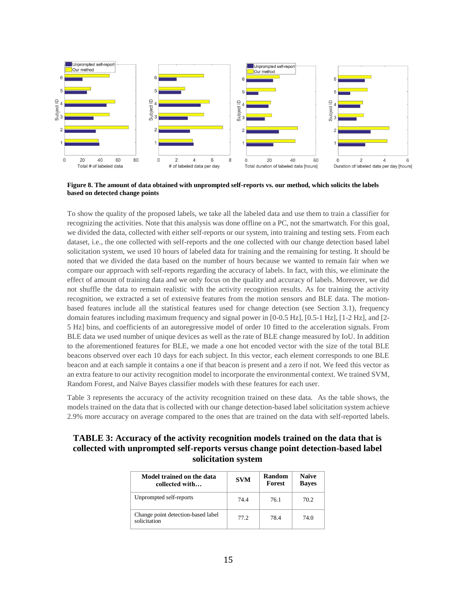

**Figure 8. The amount of data obtained with unprompted self-reports vs. our method, which solicits the labels based on detected change points**

To show the quality of the proposed labels, we take all the labeled data and use them to train a classifier for recognizing the activities. Note that this analysis was done offline on a PC, not the smartwatch. For this goal, we divided the data, collected with either self-reports or our system, into training and testing sets. From each dataset, i.e., the one collected with self-reports and the one collected with our change detection based label solicitation system, we used 10 hours of labeled data for training and the remaining for testing. It should be noted that we divided the data based on the number of hours because we wanted to remain fair when we compare our approach with self-reports regarding the accuracy of labels. In fact, with this, we eliminate the effect of amount of training data and we only focus on the quality and accuracy of labels. Moreover, we did not shuffle the data to remain realistic with the activity recognition results. As for training the activity recognition, we extracted a set of extensive features from the motion sensors and BLE data. The motionbased features include all the statistical features used for change detection (see Section 3.1), frequency domain features including maximum frequency and signal power in [0-0.5 Hz], [0.5-1 Hz], [1-2 Hz], and [2- 5 Hz] bins, and coefficients of an autoregressive model of order 10 fitted to the acceleration signals. From BLE data we used number of unique devices as well as the rate of BLE change measured by IoU. In addition to the aforementioned features for BLE, we made a one hot encoded vector with the size of the total BLE beacons observed over each 10 days for each subject. In this vector, each element corresponds to one BLE beacon and at each sample it contains a one if that beacon is present and a zero if not. We feed this vector as an extra feature to our activity recognition model to incorporate the environmental context. We trained SVM, Random Forest, and Naïve Bayes classifier models with these features for each user.

Table 3 represents the accuracy of the activity recognition trained on these data. As the table shows, the models trained on the data that is collected with our change detection-based label solicitation system achieve 2.9% more accuracy on average compared to the ones that are trained on the data with self-reported labels.

#### **TABLE 3: Accuracy of the activity recognition models trained on the data that is collected with unprompted self-reports versus change point detection-based label solicitation system**

| Model trained on the data<br>collected with        | <b>SVM</b> | Random<br>Forest | <b>Naïve</b><br><b>Baves</b> |
|----------------------------------------------------|------------|------------------|------------------------------|
| Unprompted self-reports                            | 744        | 76.1             | 70.2                         |
| Change point detection-based label<br>solicitation | 77.2       | 78.4             | 74 O                         |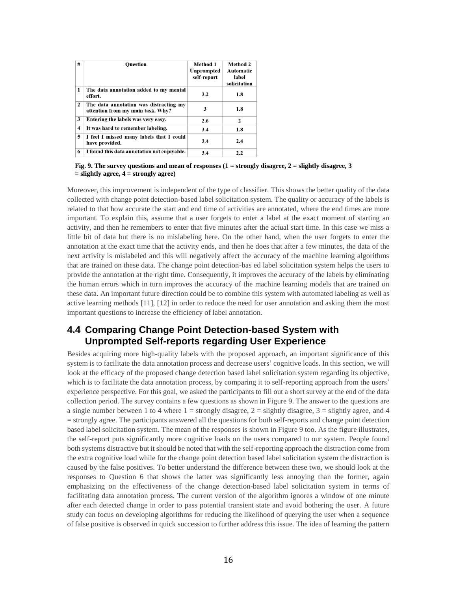| # | <b>Question</b>                                                             | Method 1<br>Unprompted<br>self-report | Method 2<br>Automatic<br>label<br>solicitation |
|---|-----------------------------------------------------------------------------|---------------------------------------|------------------------------------------------|
| 1 | The data annotation added to my mental<br>effort.                           | 3.2                                   | 1.8                                            |
| 2 | The data annotation was distracting my<br>attention from my main task. Why? | 3                                     | 1.8                                            |
| 3 | Entering the labels was very easy.                                          | 2.6                                   | $\mathbf{2}$                                   |
| 4 | It was hard to remember labeling.                                           | 3.4                                   | 1.8                                            |
| 5 | I feel I missed many labels that I could<br>have provided.                  | 3.4                                   | 2.4                                            |
| 6 | I found this data annotation not enjovable.                                 | 3.4                                   | 2.2                                            |

**Fig. 9. The survey questions and mean of responses (1 = strongly disagree, 2 = slightly disagree, 3 = slightly agree, 4 = strongly agree)**

Moreover, this improvement is independent of the type of classifier. This shows the better quality of the data collected with change point detection-based label solicitation system. The quality or accuracy of the labels is related to that how accurate the start and end time of activities are annotated, where the end times are more important. To explain this, assume that a user forgets to enter a label at the exact moment of starting an activity, and then he remembers to enter that five minutes after the actual start time. In this case we miss a little bit of data but there is no mislabeling here. On the other hand, when the user forgets to enter the annotation at the exact time that the activity ends, and then he does that after a few minutes, the data of the next activity is mislabeled and this will negatively affect the accuracy of the machine learning algorithms that are trained on these data. The change point detection-bas ed label solicitation system helps the users to provide the annotation at the right time. Consequently, it improves the accuracy of the labels by eliminating the human errors which in turn improves the accuracy of the machine learning models that are trained on these data. An important future direction could be to combine this system with automated labeling as well as active learning methods [11], [12] in order to reduce the need for user annotation and asking them the most important questions to increase the efficiency of label annotation.

## **4.4 Comparing Change Point Detection-based System with Unprompted Self-reports regarding User Experience**

Besides acquiring more high-quality labels with the proposed approach, an important significance of this system is to facilitate the data annotation process and decrease users' cognitive loads. In this section, we will look at the efficacy of the proposed change detection based label solicitation system regarding its objective, which is to facilitate the data annotation process, by comparing it to self-reporting approach from the users' experience perspective. For this goal, we asked the participants to fill out a short survey at the end of the data collection period. The survey contains a few questions as shown in Figure 9. The answer to the questions are a single number between 1 to 4 where  $1 =$  strongly disagree,  $2 =$  slightly disagree,  $3 =$  slightly agree, and 4 = strongly agree. The participants answered all the questions for both self-reports and change point detection based label solicitation system. The mean of the responses is shown in Figure 9 too. As the figure illustrates, the self-report puts significantly more cognitive loads on the users compared to our system. People found both systems distractive but it should be noted that with the self-reporting approach the distraction come from the extra cognitive load while for the change point detection based label solicitation system the distraction is caused by the false positives. To better understand the difference between these two, we should look at the responses to Question 6 that shows the latter was significantly less annoying than the former, again emphasizing on the effectiveness of the change detection-based label solicitation system in terms of facilitating data annotation process. The current version of the algorithm ignores a window of one minute after each detected change in order to pass potential transient state and avoid bothering the user. A future study can focus on developing algorithms for reducing the likelihood of querying the user when a sequence of false positive is observed in quick succession to further address this issue. The idea of learning the pattern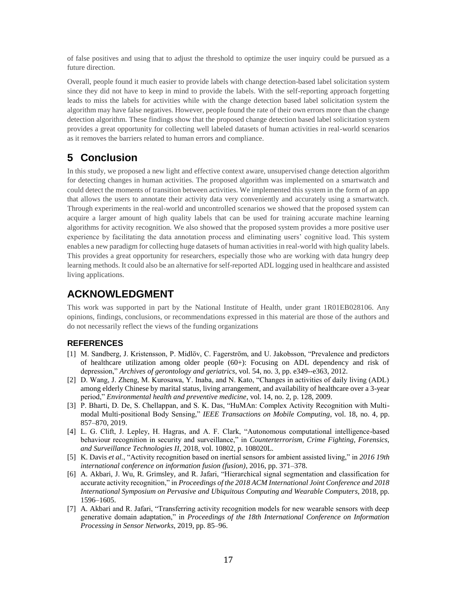of false positives and using that to adjust the threshold to optimize the user inquiry could be pursued as a future direction.

Overall, people found it much easier to provide labels with change detection-based label solicitation system since they did not have to keep in mind to provide the labels. With the self-reporting approach forgetting leads to miss the labels for activities while with the change detection based label solicitation system the algorithm may have false negatives. However, people found the rate of their own errors more than the change detection algorithm. These findings show that the proposed change detection based label solicitation system provides a great opportunity for collecting well labeled datasets of human activities in real-world scenarios as it removes the barriers related to human errors and compliance.

# **5 Conclusion**

In this study, we proposed a new light and effective context aware, unsupervised change detection algorithm for detecting changes in human activities. The proposed algorithm was implemented on a smartwatch and could detect the moments of transition between activities. We implemented this system in the form of an app that allows the users to annotate their activity data very conveniently and accurately using a smartwatch. Through experiments in the real-world and uncontrolled scenarios we showed that the proposed system can acquire a larger amount of high quality labels that can be used for training accurate machine learning algorithms for activity recognition. We also showed that the proposed system provides a more positive user experience by facilitating the data annotation process and eliminating users' cognitive load. This system enables a new paradigm for collecting huge datasets of human activities in real-world with high quality labels. This provides a great opportunity for researchers, especially those who are working with data hungry deep learning methods. It could also be an alternative for self-reported ADL logging used in healthcare and assisted living applications.

## **ACKNOWLEDGMENT**

This work was supported in part by the National Institute of Health, under grant 1R01EB028106. Any opinions, findings, conclusions, or recommendations expressed in this material are those of the authors and do not necessarily reflect the views of the funding organizations

#### **REFERENCES**

- [1] M. Sandberg, J. Kristensson, P. Midlöv, C. Fagerström, and U. Jakobsson, "Prevalence and predictors of healthcare utilization among older people (60+): Focusing on ADL dependency and risk of depression," *Archives of gerontology and geriatrics*, vol. 54, no. 3, pp. e349--e363, 2012.
- [2] D. Wang, J. Zheng, M. Kurosawa, Y. Inaba, and N. Kato, "Changes in activities of daily living (ADL) among elderly Chinese by marital status, living arrangement, and availability of healthcare over a 3-year period," *Environmental health and preventive medicine*, vol. 14, no. 2, p. 128, 2009.
- [3] P. Bharti, D. De, S. Chellappan, and S. K. Das, "HuMAn: Complex Activity Recognition with Multimodal Multi-positional Body Sensing," *IEEE Transactions on Mobile Computing*, vol. 18, no. 4, pp. 857–870, 2019.
- [4] L. G. Clift, J. Lepley, H. Hagras, and A. F. Clark, "Autonomous computational intelligence-based behaviour recognition in security and surveillance," in *Counterterrorism, Crime Fighting, Forensics, and Surveillance Technologies II*, 2018, vol. 10802, p. 108020L.
- [5] K. Davis *et al.*, "Activity recognition based on inertial sensors for ambient assisted living," in *2016 19th international conference on information fusion (fusion)*, 2016, pp. 371–378.
- [6] A. Akbari, J. Wu, R. Grimsley, and R. Jafari, "Hierarchical signal segmentation and classification for accurate activity recognition," in *Proceedings of the 2018 ACM International Joint Conference and 2018 International Symposium on Pervasive and Ubiquitous Computing and Wearable Computers*, 2018, pp. 1596–1605.
- [7] A. Akbari and R. Jafari, "Transferring activity recognition models for new wearable sensors with deep generative domain adaptation," in *Proceedings of the 18th International Conference on Information Processing in Sensor Networks*, 2019, pp. 85–96.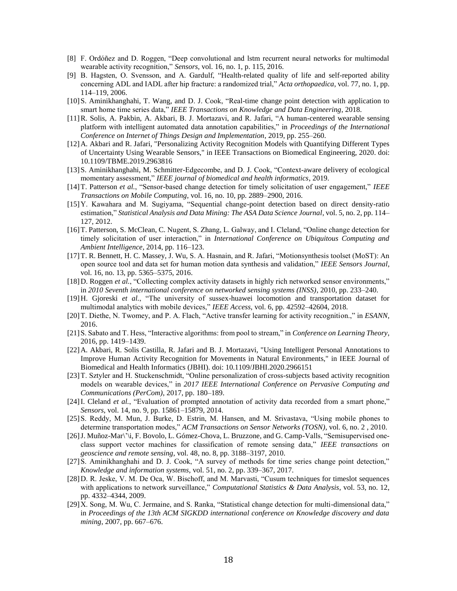- [8] F. Ordóñez and D. Roggen, "Deep convolutional and lstm recurrent neural networks for multimodal wearable activity recognition," *Sensors*, vol. 16, no. 1, p. 115, 2016.
- [9] B. Hagsten, O. Svensson, and A. Gardulf, "Health-related quality of life and self-reported ability concerning ADL and IADL after hip fracture: a randomized trial," *Acta orthopaedica*, vol. 77, no. 1, pp. 114–119, 2006.
- [10]S. Aminikhanghahi, T. Wang, and D. J. Cook, "Real-time change point detection with application to smart home time series data," *IEEE Transactions on Knowledge and Data Engineering*, 2018.
- [11]R. Solis, A. Pakbin, A. Akbari, B. J. Mortazavi, and R. Jafari, "A human-centered wearable sensing platform with intelligent automated data annotation capabilities," in *Proceedings of the International Conference on Internet of Things Design and Implementation*, 2019, pp. 255–260.
- [12]A. Akbari and R. Jafari, "Personalizing Activity Recognition Models with Quantifying Different Types of Uncertainty Using Wearable Sensors," in IEEE Transactions on Biomedical Engineering, 2020. doi: 10.1109/TBME.2019.2963816
- [13]S. Aminikhanghahi, M. Schmitter-Edgecombe, and D. J. Cook, "Context-aware delivery of ecological momentary assessment," *IEEE journal of biomedical and health informatics*, 2019.
- [14]T. Patterson *et al.*, "Sensor-based change detection for timely solicitation of user engagement," *IEEE Transactions on Mobile Computing*, vol. 16, no. 10, pp. 2889–2900, 2016.
- [15]Y. Kawahara and M. Sugiyama, "Sequential change-point detection based on direct density-ratio estimation," *Statistical Analysis and Data Mining: The ASA Data Science Journal*, vol. 5, no. 2, pp. 114– 127, 2012.
- [16]T. Patterson, S. McClean, C. Nugent, S. Zhang, L. Galway, and I. Cleland, "Online change detection for timely solicitation of user interaction," in *International Conference on Ubiquitous Computing and Ambient Intelligence*, 2014, pp. 116–123.
- [17]T. R. Bennett, H. C. Massey, J. Wu, S. A. Hasnain, and R. Jafari, "Motionsynthesis toolset (MoST): An open source tool and data set for human motion data synthesis and validation," *IEEE Sensors Journal*, vol. 16, no. 13, pp. 5365–5375, 2016.
- [18]D. Roggen *et al.*, "Collecting complex activity datasets in highly rich networked sensor environments," in *2010 Seventh international conference on networked sensing systems (INSS)*, 2010, pp. 233–240.
- [19]H. Gjoreski *et al.*, "The university of sussex-huawei locomotion and transportation dataset for multimodal analytics with mobile devices," *IEEE Access*, vol. 6, pp. 42592–42604, 2018.
- [20]T. Diethe, N. Twomey, and P. A. Flach, "Active transfer learning for activity recognition.," in *ESANN*, 2016.
- [21]S. Sabato and T. Hess, "Interactive algorithms: from pool to stream," in *Conference on Learning Theory*, 2016, pp. 1419–1439.
- [22]A. Akbari, R. Solis Castilla, R. Jafari and B. J. Mortazavi, "Using Intelligent Personal Annotations to Improve Human Activity Recognition for Movements in Natural Environments," in IEEE Journal of Biomedical and Health Informatics (JBHI). doi: 10.1109/JBHI.2020.2966151
- [23]T. Sztyler and H. Stuckenschmidt, "Online personalization of cross-subjects based activity recognition models on wearable devices," in *2017 IEEE International Conference on Pervasive Computing and Communications (PerCom)*, 2017, pp. 180–189.
- [24]I. Cleland *et al.*, "Evaluation of prompted annotation of activity data recorded from a smart phone," *Sensors*, vol. 14, no. 9, pp. 15861–15879, 2014.
- [25] S. Reddy, M. Mun, J. Burke, D. Estrin, M. Hansen, and M. Srivastava, "Using mobile phones to determine transportation modes," *ACM Transactions on Sensor Networks (TOSN)*, vol. 6, no. 2 , 2010.
- [26]J. Muñoz-Mar\'\i, F. Bovolo, L. Gómez-Chova, L. Bruzzone, and G. Camp-Valls, "Semisupervised oneclass support vector machines for classification of remote sensing data," *IEEE transactions on geoscience and remote sensing*, vol. 48, no. 8, pp. 3188–3197, 2010.
- [27] S. Aminikhanghahi and D. J. Cook, "A survey of methods for time series change point detection," *Knowledge and information systems*, vol. 51, no. 2, pp. 339–367, 2017.
- [28]D. R. Jeske, V. M. De Oca, W. Bischoff, and M. Marvasti, "Cusum techniques for timeslot sequences with applications to network surveillance," *Computational Statistics & Data Analysis*, vol. 53, no. 12, pp. 4332–4344, 2009.
- [29]X. Song, M. Wu, C. Jermaine, and S. Ranka, "Statistical change detection for multi-dimensional data," in *Proceedings of the 13th ACM SIGKDD international conference on Knowledge discovery and data mining*, 2007, pp. 667–676.